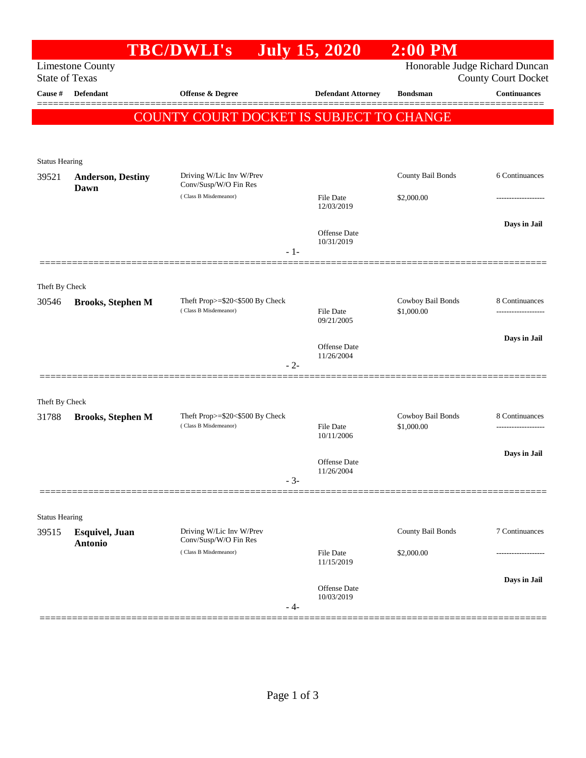|                                |                                                  | <b>TBC/DWLI's</b>                                        | <b>July 15, 2020</b>           | $2:00$ PM                       |                                                   |
|--------------------------------|--------------------------------------------------|----------------------------------------------------------|--------------------------------|---------------------------------|---------------------------------------------------|
|                                | <b>Limestone County</b><br><b>State of Texas</b> |                                                          |                                | Honorable Judge Richard Duncan  |                                                   |
| Cause #                        | <b>Defendant</b>                                 | <b>Offense &amp; Degree</b>                              | <b>Defendant Attorney</b>      | <b>Bondsman</b>                 | <b>County Court Docket</b><br><b>Continuances</b> |
|                                |                                                  |                                                          |                                |                                 |                                                   |
|                                |                                                  | COUNTY COURT DOCKET IS SUBJECT TO CHANGE                 |                                |                                 |                                                   |
|                                |                                                  |                                                          |                                |                                 |                                                   |
| <b>Status Hearing</b>          |                                                  |                                                          |                                |                                 |                                                   |
| 39521                          | <b>Anderson, Destiny</b>                         | Driving W/Lic Inv W/Prev<br>Conv/Susp/W/O Fin Res        |                                | County Bail Bonds               | 6 Continuances                                    |
|                                | Dawn                                             | (Class B Misdemeanor)                                    | File Date                      | \$2,000.00                      | -----------------                                 |
|                                |                                                  |                                                          | 12/03/2019                     |                                 |                                                   |
|                                |                                                  |                                                          | Offense Date<br>10/31/2019     |                                 | Days in Jail                                      |
|                                |                                                  | $-1-$                                                    |                                |                                 |                                                   |
|                                |                                                  |                                                          |                                |                                 |                                                   |
| Theft By Check                 |                                                  |                                                          |                                |                                 |                                                   |
| 30546                          | <b>Brooks, Stephen M</b>                         | Theft Prop>=\$20<\$500 By Check<br>(Class B Misdemeanor) | <b>File Date</b>               | Cowboy Bail Bonds<br>\$1,000.00 | 8 Continuances<br>                                |
|                                |                                                  |                                                          | 09/21/2005                     |                                 |                                                   |
|                                |                                                  |                                                          | Offense Date                   |                                 | Days in Jail                                      |
|                                |                                                  | $-2-$                                                    | 11/26/2004                     |                                 |                                                   |
|                                |                                                  |                                                          |                                |                                 |                                                   |
| Theft By Check                 |                                                  |                                                          |                                |                                 |                                                   |
| 31788                          | <b>Brooks, Stephen M</b>                         | Theft Prop>=\$20<\$500 By Check                          |                                | Cowboy Bail Bonds               | 8 Continuances                                    |
|                                |                                                  | (Class B Misdemeanor)                                    | <b>File Date</b><br>10/11/2006 | \$1,000.00                      |                                                   |
|                                |                                                  |                                                          |                                |                                 | Days in Jail                                      |
|                                |                                                  |                                                          | Offense Date<br>11/26/2004     |                                 |                                                   |
|                                |                                                  | $-3-$                                                    |                                |                                 |                                                   |
|                                |                                                  |                                                          |                                |                                 |                                                   |
| <b>Status Hearing</b><br>39515 | <b>Esquivel</b> , Juan                           | Driving W/Lic Inv W/Prev                                 |                                | County Bail Bonds               | 7 Continuances                                    |
|                                | <b>Antonio</b>                                   | Conv/Susp/W/O Fin Res                                    |                                |                                 |                                                   |
|                                |                                                  | (Class B Misdemeanor)                                    | <b>File Date</b><br>11/15/2019 | \$2,000.00                      | -----------------                                 |
|                                |                                                  |                                                          |                                |                                 | Days in Jail                                      |
|                                |                                                  |                                                          | Offense Date<br>10/03/2019     |                                 |                                                   |
|                                |                                                  | - 4-                                                     |                                |                                 |                                                   |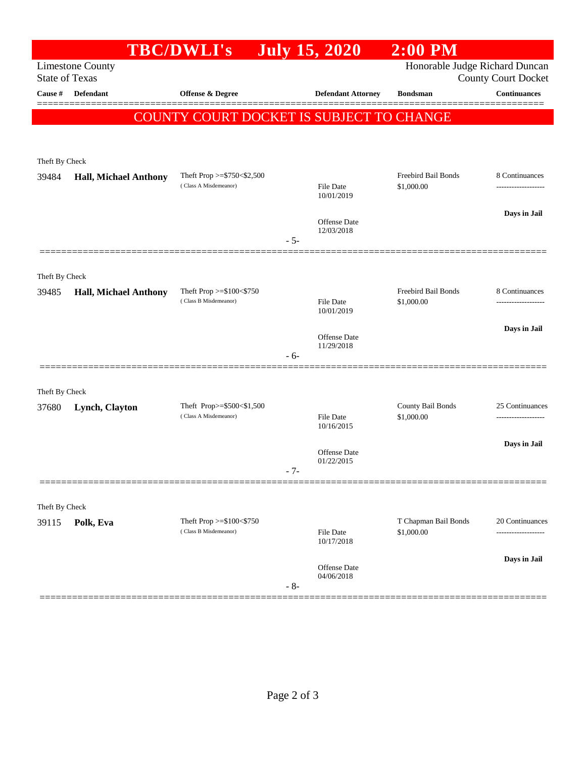|                |                                                  | <b>TBC/DWLI's</b>                                        | <b>July 15, 2020</b>                     | $2:00$ PM                         |                                                              |  |
|----------------|--------------------------------------------------|----------------------------------------------------------|------------------------------------------|-----------------------------------|--------------------------------------------------------------|--|
|                | <b>Limestone County</b><br><b>State of Texas</b> |                                                          |                                          |                                   | Honorable Judge Richard Duncan<br><b>County Court Docket</b> |  |
| Cause #        | Defendant                                        | Offense & Degree                                         | <b>Defendant Attorney</b>                | <b>Bondsman</b>                   | <b>Continuances</b>                                          |  |
|                |                                                  |                                                          | COUNTY COURT DOCKET IS SUBJECT TO CHANGE |                                   |                                                              |  |
|                |                                                  |                                                          |                                          |                                   |                                                              |  |
| Theft By Check |                                                  |                                                          |                                          |                                   |                                                              |  |
| 39484          | <b>Hall, Michael Anthony</b>                     | Theft Prop $>=$ \$750 < \$2,500<br>(Class A Misdemeanor) | File Date<br>10/01/2019                  | Freebird Bail Bonds<br>\$1,000.00 | 8 Continuances                                               |  |
|                |                                                  |                                                          |                                          |                                   | Days in Jail                                                 |  |
|                |                                                  |                                                          | Offense Date<br>12/03/2018<br>$-5-$      |                                   |                                                              |  |
|                |                                                  |                                                          |                                          |                                   |                                                              |  |
| Theft By Check |                                                  |                                                          |                                          |                                   |                                                              |  |
| 39485          | <b>Hall, Michael Anthony</b>                     | Theft Prop >=\$100<\$750                                 |                                          | Freebird Bail Bonds               | 8 Continuances                                               |  |
|                |                                                  | (Class B Misdemeanor)                                    | File Date<br>10/01/2019                  | \$1,000.00                        |                                                              |  |
|                |                                                  |                                                          |                                          |                                   | Days in Jail                                                 |  |
|                |                                                  |                                                          | <b>Offense Date</b><br>11/29/2018        |                                   |                                                              |  |
|                |                                                  |                                                          | - 6-                                     |                                   |                                                              |  |
| Theft By Check |                                                  |                                                          |                                          |                                   |                                                              |  |
| 37680          | Lynch, Clayton                                   | Theft Prop>=\$500<\$1,500<br>(Class A Misdemeanor)       |                                          | County Bail Bonds                 | 25 Continuances                                              |  |
|                |                                                  |                                                          | File Date<br>10/16/2015                  | \$1,000.00                        | -------------------                                          |  |
|                |                                                  |                                                          |                                          |                                   | Days in Jail                                                 |  |
|                |                                                  |                                                          | Offense Date<br>01/22/2015               |                                   |                                                              |  |
|                |                                                  |                                                          | - 7-                                     |                                   |                                                              |  |
| Theft By Check |                                                  |                                                          |                                          |                                   |                                                              |  |
| 39115          | Polk, Eva<br>(Class B Misdemeanor)               | Theft Prop >=\$100<\$750                                 |                                          | T Chapman Bail Bonds              | 20 Continuances                                              |  |
|                |                                                  |                                                          | File Date<br>10/17/2018                  | \$1,000.00                        |                                                              |  |
|                |                                                  |                                                          |                                          |                                   | Days in Jail                                                 |  |
|                |                                                  |                                                          | Offense Date<br>04/06/2018<br>$-8-$      |                                   |                                                              |  |